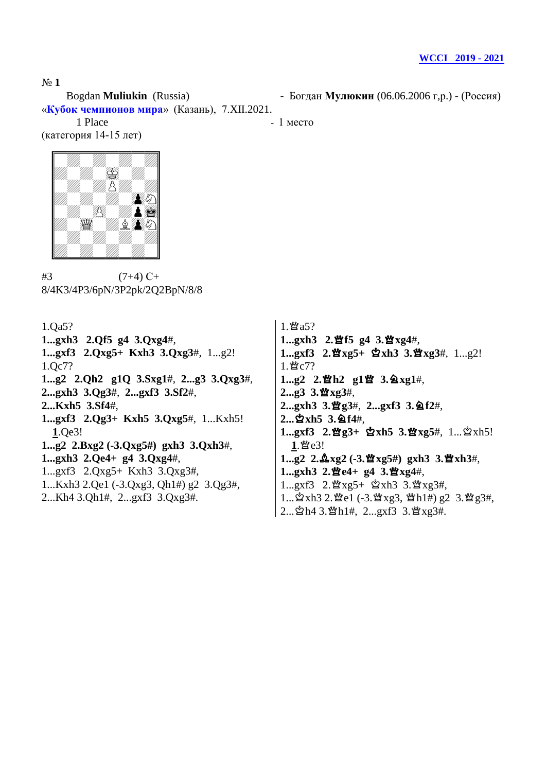Bogdan **Muliukin** (Russia) - Богдан **Мулюкин** (06.06.2006 г,р.) - (Россия) «**Кубок чемпионов мира**» (Казань), 7.XII.2021.

1 Place - 1 место

(категория 14-15 лет)



 $#3$  (7+4) C+ 8/4K3/4P3/6pN/3P2pk/2Q2BpN/8/8

1.Qa5? **1...gxh3 2.Qf5 g4 3.Qxg4**#, **1...gxf3 2.Qxg5+ Kxh3 3.Qxg3**#, 1...g2! 1.Qc7? **1...g2 2.Qh2 g1Q 3.Sxg1**#, **2...g3 3.Qxg3**#, **2...gxh3 3.Qg3**#, **2...gxf3 3.Sf2**#, **2...Kxh5 3.Sf4**#, **1...gxf3 2.Qg3+ Kxh5 3.Qxg5**#, 1...Kxh5! **1**.Qe3! **1...g2 2.Bxg2 (-3.Qxg5#) gxh3 3.Qxh3**#, **1...gxh3 2.Qe4+ g4 3.Qxg4**#, 1...gxf3 2.Qxg5+ Kxh3 3.Qxg3#, 1...Kxh3 2.Qe1 (-3.Qxg3, Qh1#) g2 3.Qg3#, 2...Kh4 3.Qh1#, 2...gxf3 3.Qxg3#.  $1.$  暨 $a5?$ 1...gxh3 2.營f5 g4 3.營xg4#, **1...gxf3 2.曾xg5+ 宫xh3 3.曾xg3#, 1...g2!** 1. 暨c7? 1...g2 2. 曾h2 g1曾 3. @xg1#, **2...g3 3.**s**xg3**#, **2...gxh3 3.**s**g3**#, **2...gxf3 3.**m**f2**#, **2...**u**xh5 3.**m**f4**#,  $1 \text{...} \text{g} \text{xf} 3$   $2 \text{.} \text{M} \text{g} 3 + \text{M} \text{g} \text{y} 5$   $3 \text{.} \text{M} \text{g} 5$   $\#$ ,  $1 \text{...} \text{m} \text{g} \text{y} 5$ !  $1.$  $\mathfrak{e}3!$ 1...g2 2. $\Delta$ xg2 (-3. 曾xg5#) gxh3 3. 曾xh3#, 1...gxh3 2.曾e4+ g4 3.曾xg4#, 1...gxf3 2.  $\mathcal{L}$ xg5+  $\mathcal{L}$ xh3 3.  $\mathcal{L}$ xg3#,  $1...$  $2xh3$   $2.$  $8e1$  (-3. $8xg3$ ,  $8xh1#$ )  $g2$   $3.$  $8xg3#$ , 2... \$h4 3. \text{h1#, 2...gxf3 3. \text{xg3#.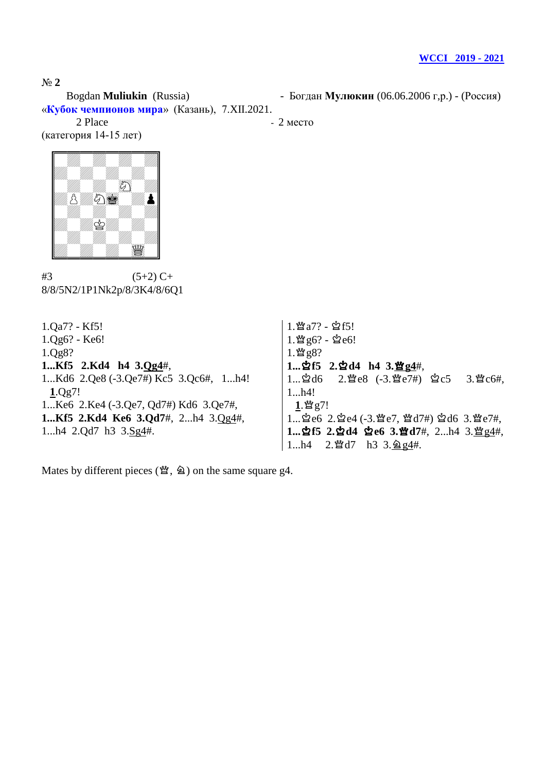N<sup>o</sup> 2<br>Bogdan **Muliukin** (Russia) «**Кубок чемпионов мира**» (Казань), 7.XII.2021.

- Богдан **Мулюкин** (06.06.2006 г,р.) - (Россия)

 $2$  Place  $-2$  место

(категория 14-15 лет)



 $#3$  (5+2) C+ 8/8/5N2/1P1Nk2p/8/3K4/8/6Q1

| 1.Qa7? - Kf5!                         | 1. 暨a7? - ∑f5!                                             |
|---------------------------------------|------------------------------------------------------------|
| $1.0g6? - Ke6!$                       | $1.$ ᄤg6? - ஜீe6!                                          |
| 1.0g8?                                | $1.\mathcal{W}$ g $8?$                                     |
| 1Kf5 2.Kd4 h4 3.Qg4#,                 | $1$ ጅf5 2. Φd4 h4 3. $\mathcal{B}$ g4#,                    |
| 1Kd6 2.Qe8 (-3.Qe7#) Kc5 3.Qc6#, 1h4! | 1 空d6 2. 壁e8 (-3. 壁e7#) 空c5 3. 壁c6#,                       |
| 1.0g7!                                | 1h4!                                                       |
| 1Ke6 2.Ke4 (-3.Qe7, Qd7#) Kd6 3.Qe7#, | $1.$ 1.2 g7!                                               |
| 1Kf5 2.Kd4 Ke6 3.Qd7#, 2h4 3.Qg4#,    | 1 $2e6$ 2. $2e4$ (-3. $2e7$ , $2e7$ ) $2d6$ 3. $2e7$ #,    |
| 1 $h4$ 2.Qd7 h3 3.Sg4#.               | 1 空f5 2.空d4 空e6 3.暨d7#, 2h4 3.暨g4#,                        |
|                                       | 1h4 2. $\mathbb{Q}$ d7 h3 3. $\mathbb{Q}$ $\mathbb{Q}$ 4#. |

Mates by different pieces ( $\mathfrak{B}, \mathfrak{A}$ ) on the same square g4.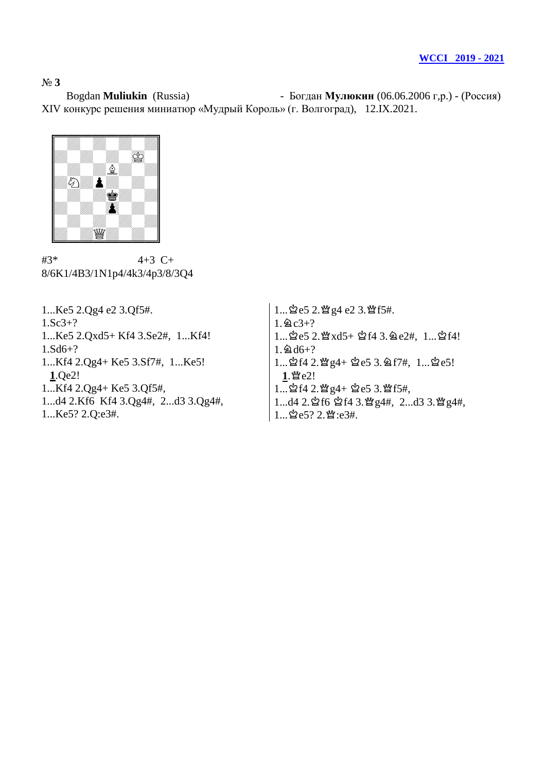Bogdan **Muliukin** (Russia) - Богдан **Мулюкин** (06.06.2006 г,р.) - (Россия) XIV конкурс решения миниатюр «Мудрый Король» (г. Волгоград), 12.IX.2021.



 $#3^*$  4+3 C+ 8/6K1/4B3/1N1p4/4k3/4p3/8/3Q4

1...Ke5 2.Qg4 e2 3.Qf5#. 1.Sc3+? 1...Ke5 2.Qxd5+ Kf4 3.Se2#, 1...Kf4! 1.Sd6+? 1...Kf4 2.Qg4+ Ke5 3.Sf7#, 1...Ke5! **1**.Qe2! 1...Kf4 2.Qg4+ Ke5 3.Qf5#, 1...d4 2.Kf6 Kf4 3.Qg4#, 2...d3 3.Qg4#, 1...Ke5? 2.Q:e3#.

1... 空e5 2. 暨g4 e2 3. 暨f5#.  $1.\,\triangle$   $c3+?$  $1...$ 空e5 2. 營xd5+ 空f4 3. 으e2#,  $1...$ 空f4!  $1.\n **4d6+?**$  $1...$  연f4 2. 빨g4+ 알e5 3. 실f7#,  $1...$  알e5! 1.營e2!  $1...$ ☆f4 2. 營g4+ ☆e5 3. 營f5#, 1...d4 2. 空f6 空f4 3. 暨g4#, 2...d3 3. 暨g4#,  $1...$ ጅe5?  $2.$  $1...$ ድ $3#$ .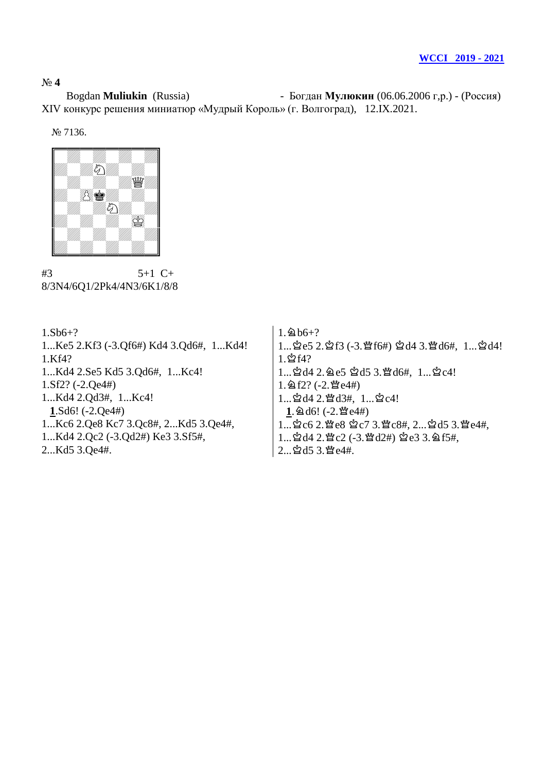Bogdan **Muliukin** (Russia) - Богдан **Мулюкин** (06.06.2006 г,р.) - (Россия) XIV конкурс решения миниатюр «Мудрый Король» (г. Волгоград), 12.IX.2021.

№ 7136.



 $#3$  5+1 C+ 8/3N4/6Q1/2Pk4/4N3/6K1/8/8

1.Sb6+? 1...Ke5 2.Kf3 (-3.Qf6#) Kd4 3.Qd6#, 1...Kd4! 1.Kf4? 1...Kd4 2.Se5 Kd5 3.Qd6#, 1...Kc4! 1.Sf2? (-2.Qe4#) 1...Kd4 2.Qd3#, 1...Kc4! **1**.Sd6! (-2.Qe4#) 1...Kc6 2.Qe8 Kc7 3.Qc8#, 2...Kd5 3.Qe4#, 1...Kd4 2.Qc2 (-3.Qd2#) Ke3 3.Sf5#, 2...Kd5 3.Qe4#.  $1.266+?$  $1...$ ② $e5$   $2.$ ② $f3$   $(-3.$  া $f6#$ ) ② $d4$   $3.$  Ned $6#$ ,  $1...$ ② $d4!$  $1.\,$ ጅ $f4?$ 1... ~d4 2. @e5 ~d5 3. ~d6#, 1... ~c4!  $1.\,\triangle$ f2? (-2. 營e4#)  $1...$ ②d4 2.曾d3#,  $1...$ ②c4!  $1.2d6!$  (-2. se4#)  $1...$  $2c6$   $2.$   $2e8$   $2c7$   $3.$   $2ce8$ #,  $2...$  $2d5$   $3.$   $2e4$ #,  $1...$ 2d4 2.  $2c$  (-3.  $2d$  d2#) 2e3 3.  $2f$  f5#,  $2...$ ☆ $d5$  3.  $\mathcal{C}$ e4#.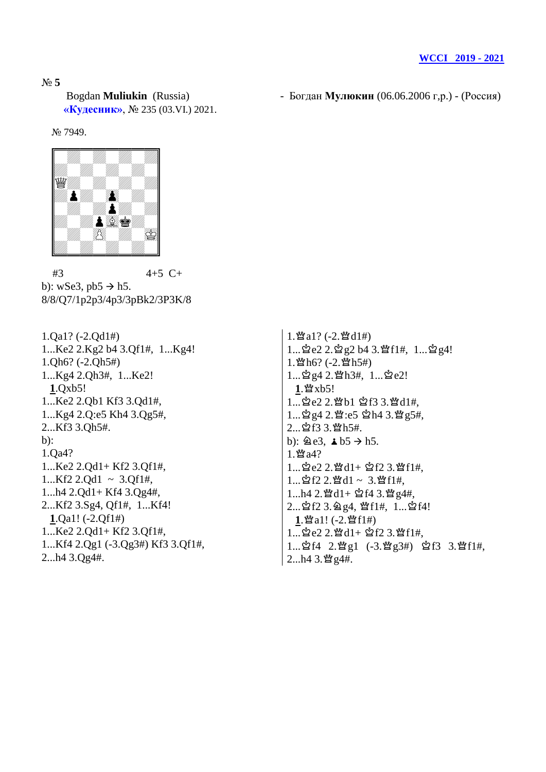**«Кудесник»**, № 235 (03.VI.) 2021.

Bogdan **Muliukin** (Russia) - Богдан **Мулюкин** (06.06.2006 г,р.) - (Россия)

№ 7949.



 $#3$  4+5 C+ b): wSe3,  $pb5 \rightarrow h5$ . 8/8/Q7/1p2p3/4p3/3pBk2/3P3K/8

1.Qa1? (-2.Qd1#) 1...Ke2 2.Kg2 b4 3.Qf1#, 1...Kg4! 1.Qh6? (-2.Qh5#) 1...Kg4 2.Qh3#, 1...Ke2! **1**.Qxb5! 1...Ke2 2.Qb1 Kf3 3.Qd1#, 1...Kg4 2.Q:e5 Kh4 3.Qg5#, 2...Kf3 3.Qh5#. b): 1.Qa4? 1...Ke2 2.Qd1+ Kf2 3.Qf1#, 1...Kf2 2.Qd1  $\sim$  3.Qf1#, 1...h4 2.Qd1+ Kf4 3.Qg4#, 2...Kf2 3.Sg4, Qf1#, 1...Kf4! **1**.Qa1! (-2.Qf1#) 1...Ke2 2.Qd1+ Kf2 3.Qf1#, 1...Kf4 2.Qg1 (-3.Qg3#) Kf3 3.Qf1#, 2...h4 3.Qg4#.

 $1.$  暨a $1?$  (-2. 暨d1#)  $1...$  ②  $e2$   $2.\,$  ③  $g2$   $b4$   $3.\,$  ③  $f1#$ ,  $1...$  ②  $g4!$  $1.\mathfrak{B}h6?$  (-2.  $\mathfrak{B}h5#$ )  $1...$ ☆g4 2.營h3#,  $1...$ ☆e2! 1. 營xb5! 1... 至e2 2. 營b1 空f3 3. 營d1#,  $1...$  空 g4 2. 暨:e5 空 h4 3. 暨 g5#,  $2...$  $2f3$   $3.\mathfrak{B}$ h5#. b):  $\triangle$ e3,  $\triangle$ b5  $\rightarrow$ h5.  $1.$  暨  $a4$ ?  $1...$  $2e2$   $2.$  $41+$  $2f2$   $3.$  $4f1$ #,  $1...$ ☆f2 2. sd $1 - 3$ . sf $1#$ ,  $1...h4$   $2.\mathfrak{B}$   $d1 + \mathfrak{L}$   $f4$   $3.\mathfrak{B}$   $g4$ #,  $2...$  $2f2$   $3.\n$  $9g4$ ,  $2f1#$ ,  $1...$  $2f4!$ 1. 營a1! (-2. 暨f1#)  $1...$  $2e2$   $2.$  $8d1+$  $2f2$   $3.$  $8f1#$ , 1... 空f4 2. 暨g1 (-3. 暨g3#) 空f3 3. 暨f1#, 2...h4 3. sig4#.